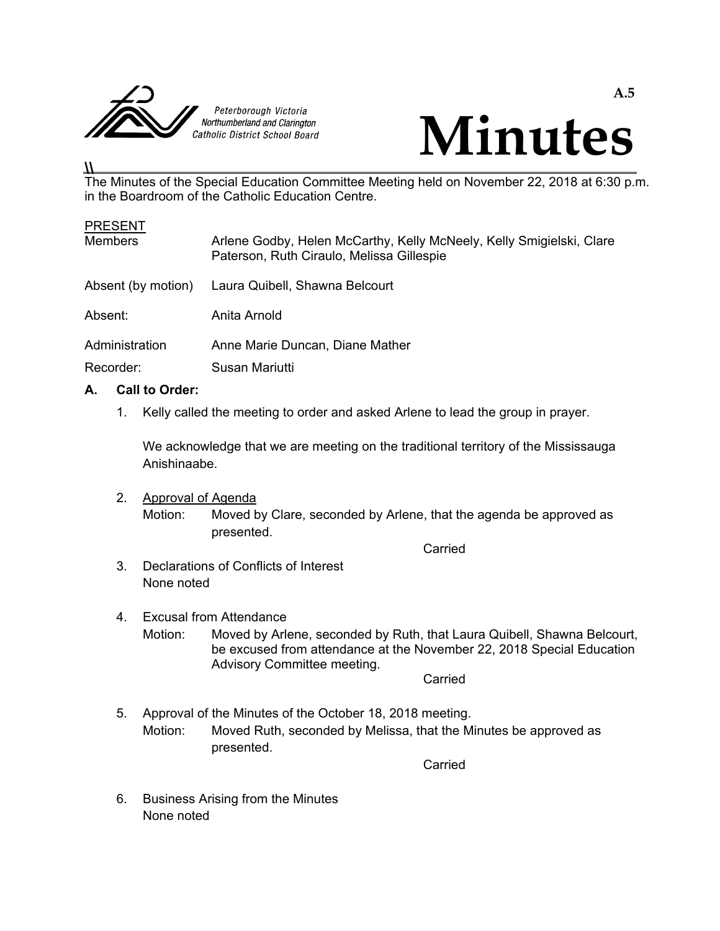



## The Minutes of the Special Education Committee Meeting held on November 22, 2018 at 6:30 p.m. in the Boardroom of the Catholic Education Centre.

| <b>PRESENT</b>     |                                                                                                                   |  |
|--------------------|-------------------------------------------------------------------------------------------------------------------|--|
| <b>Members</b>     | Arlene Godby, Helen McCarthy, Kelly McNeely, Kelly Smigielski, Clare<br>Paterson, Ruth Ciraulo, Melissa Gillespie |  |
| Absent (by motion) | Laura Quibell, Shawna Belcourt                                                                                    |  |
| Absent:            | Anita Arnold                                                                                                      |  |
| Administration     | Anne Marie Duncan, Diane Mather                                                                                   |  |
| Recorder:          | Susan Mariutti                                                                                                    |  |

## **A. Call to Order:**

 $\overline{\mu}$ 

1. Kelly called the meeting to order and asked Arlene to lead the group in prayer.

 We acknowledge that we are meeting on the traditional territory of the Mississauga Anishinaabe.

 2. Approval of Agenda Motion: Moved by Clare, seconded by Arlene, that the agenda be approved as presented. **Carried Carried Carried Carried Carried** 

- 3. Declarations of Conflicts of Interest None noted
- 4. Excusal from Attendance Motion: Moved by Arlene, seconded by Ruth, that Laura Quibell, Shawna Belcourt, be excused from attendance at the November 22, 2018 Special Education Advisory Committee meeting. **Carried Carried Carried Carried Carried**

 5. Approval of the Minutes of the October 18, 2018 meeting. Motion: Moved Ruth, seconded by Melissa, that the Minutes be approved as presented.

**Carried Carried Carried Carried Carried Carried Carried Carried Carried Carried Carried Carried Carried Carried Carried Carried Carried Carried Carried Carried Carried Carried Carried Carried Carried Carried Carried Carri** 

 6. Business Arising from the Minutes None noted

**A.5**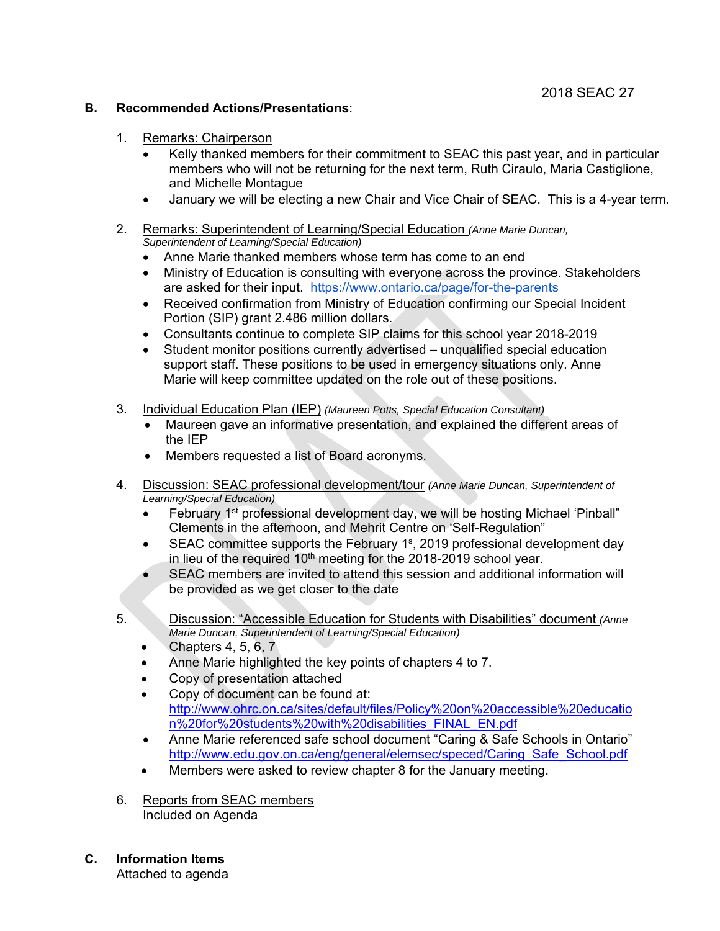#### **B. Recommended Actions/Presentations**:

- 1. Remarks: Chairperson
	- Kelly thanked members for their commitment to SEAC this past year, and in particular members who will not be returning for the next term, Ruth Ciraulo, Maria Castiglione, and Michelle Montague
	- January we will be electing a new Chair and Vice Chair of SEAC. This is a 4-year term.
- 2. Remarks: Superintendent of Learning/Special Education *(Anne Marie Duncan, Superintendent of Learning/Special Education)* 
	- Anne Marie thanked members whose term has come to an end
	- Ministry of Education is consulting with everyone across the province. Stakeholders are asked for their input. https://www.ontario.ca/page/for-the-parents
	- Received confirmation from Ministry of Education confirming our Special Incident Portion (SIP) grant 2.486 million dollars.
	- Consultants continue to complete SIP claims for this school year 2018-2019
	- Student monitor positions currently advertised unqualified special education support staff. These positions to be used in emergency situations only. Anne Marie will keep committee updated on the role out of these positions.
- 3. Individual Education Plan (IEP) *(Maureen Potts, Special Education Consultant)*
	- Maureen gave an informative presentation, and explained the different areas of the IEP
	- Members requested a list of Board acronyms.
- 4. Discussion: SEAC professional development/tour *(Anne Marie Duncan, Superintendent of Learning/Special Education)* 
	- February 1<sup>st</sup> professional development day, we will be hosting Michael 'Pinball" Clements in the afternoon, and Mehrit Centre on 'Self-Regulation"
	- $\bullet$  SEAC committee supports the February 1<sup>s</sup>, 2019 professional development day in lieu of the required  $10<sup>th</sup>$  meeting for the 2018-2019 school year.
	- SEAC members are invited to attend this session and additional information will be provided as we get closer to the date
- 5. Discussion: "Accessible Education for Students with Disabilities" document *(Anne Marie Duncan, Superintendent of Learning/Special Education)* 
	- $\bullet$  Chapters 4, 5, 6, 7
	- Anne Marie highlighted the key points of chapters 4 to 7.
	- Copy of presentation attached
	- Copy of document can be found at: http://www.ohrc.on.ca/sites/default/files/Policy%20on%20accessible%20educatio n%20for%20students%20with%20disabilities\_FINAL\_EN.pdf
	- Anne Marie referenced safe school document "Caring & Safe Schools in Ontario" http://www.edu.gov.on.ca/eng/general/elemsec/speced/Caring\_Safe\_School.pdf
	- Members were asked to review chapter 8 for the January meeting.
- 6. Reports from SEAC members Included on Agenda
- **C. Information Items**

Attached to agenda